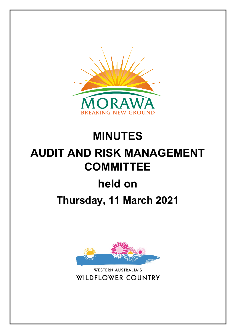

# **MINUTES AUDIT AND RISK MANAGEMENT COMMITTEE held on Thursday, 11 March 2021**



WESTERN AUSTRALIA'S **WILDFLOWER COUNTRY**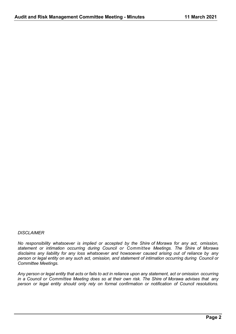#### *DISCLAIMER*

*No responsibility whatsoever is implied or accepted by the Shire of Morawa for any act, omission, statement or intimation occurring during Council or Committee Meetings. The Shire of Morawa disclaims any liability for any loss whatsoever and howsoever caused arising out of reliance by any person or legal entity on any such act, omission, and statement of intimation occurring during Council or Committee Meetings.*

Any person or legal entity that acts or fails to act in reliance upon any statement, act or omission occurring *in a Council or Committee Meeting does so at their own risk. The Shire of Morawa advises that any person or legal entity should only rely on formal confirmation or notification of Council resolutions.*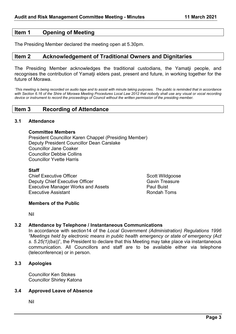# **Item 1 Opening of Meeting**

The Presiding Member declared the meeting open at 5.30pm.

## **Item 2 Acknowledgement of Traditional Owners and Dignitaries**

The Presiding Member acknowledges the traditional custodians, the Yamatji people, and recognises the contribution of Yamatji elders past, present and future, in working together for the future of Morawa.

*'This meeting is being recorded on audio tape and to assist with minute taking purposes. The public is reminded that in accordance with Section 6.16 of the Shire of Morawa Meeting Procedures Local Law 2012 that nobody shall use any visual or vocal recording device or instrument to record the proceedings of Council without the written permission of the presiding member.*

# **Item 3 Recording of Attendance**

#### **3.1 Attendance**

#### **Committee Members**

President Councillor Karen Chappel (Presiding Member) Deputy President Councillor Dean Carslake Councillor Jane Coaker Councillor Debbie Collins Councillor Yvette Harris

#### **Staff**

Chief Executive Officer Scott Wildgoose Scott Wildgoose Deputy Chief Executive Officer Gavin Treasure Executive Manager Works and Assets **Paul Buist** Executive Assistant **Rondah Toms** 

#### **Members of the Public**

Nil

#### **3.2 Attendance by Telephone / Instantaneous Communications**

In accordance with section14 of the *Local Government (Administration) Regulations 1996 "Meetings held by electronic means in public health emergency or state of emergency (Act s. 5.25(1)(ba*))", the President to declare that this Meeting may take place via instantaneous communication. All Councillors and staff are to be available either via telephone (teleconference) or in person.

#### **3.3 Apologies**

Councillor Ken Stokes Councillor Shirley Katona

#### **3.4 Approved Leave of Absence**

Nil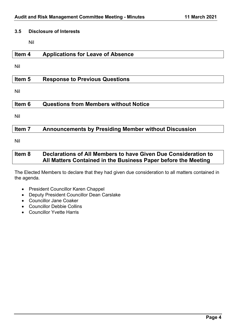### **3.5 Disclosure of Interests**

Nil

| ltem 4 | <b>Applications for Leave of Absence</b> |
|--------|------------------------------------------|
|        |                                          |

Nil

| Item 5 | <b>Response to Previous Questions</b> |
|--------|---------------------------------------|
|        |                                       |

Nil

| Item 6 | <b>Questions from Members without Notice</b>                   |  |
|--------|----------------------------------------------------------------|--|
|        |                                                                |  |
| Nil    |                                                                |  |
|        |                                                                |  |
| Item 7 | <b>Announcements by Presiding Member without Discussion</b>    |  |
|        |                                                                |  |
|        |                                                                |  |
| Nil    |                                                                |  |
|        |                                                                |  |
|        |                                                                |  |
| Item 8 | Declarations of All Members to have Given Due Consideration to |  |
|        |                                                                |  |
|        | All Matters Contained in the Business Paper before the Meeting |  |

The Elected Members to declare that they had given due consideration to all matters contained in the agenda.

- President Councillor Karen Chappel
- Deputy President Councillor Dean Carslake
- Councillor Jane Coaker
- Councillor Debbie Collins
- Councillor Yvette Harris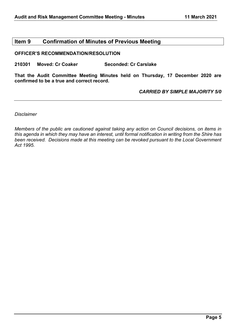# **Item 9 Confirmation of Minutes of Previous Meeting**

#### **OFFICER'S RECOMMENDATION/RESOLUTION**

**210301 Moved: Cr Coaker Seconded: Cr Carslake**

**That the Audit Committee Meeting Minutes held on Thursday, 17 December 2020 are confirmed to be a true and correct record.**

#### *CARRIED BY SIMPLE MAJORITY 5/0*

*Disclaimer*

*Members of the public are cautioned against taking any action on Council decisions, on items in this agenda in which they may have an interest, until formal notification in writing from the Shire has been received. Decisions made at this meeting can be revoked pursuant to the Local Government Act 1995.*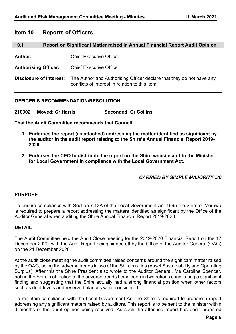# **Item 10 Reports of Officers**

#### **10.1 Report on Significant Matter raised in Annual Financial Report Audit Opinion**

**Author:** Chief Executive Officer

**Authorising Officer:** Chief Executive Officer

**Disclosure of Interest:** The Author and Authorising Officer declare that they do not have any conflicts of interest in relation to this item.

#### **OFFICER'S RECOMMENDATION/RESOLUTION**

**210302 Moved: Cr Harris Seconded: Cr Collins**

**That the Audit Committee recommends that Council:**

- **1. Endorses the report (as attached) addressing the matter identified as significant by the auditor in the audit report relating to the Shire's Annual Financial Report 2019- 2020**
- **2. Endorses the CEO to distribute the report on the Shire website and to the Minister for Local Government in compliance with the Local Government Act.**

*CARRIED BY SIMPLE MAJORITY 5/0*

#### **PURPOSE**

To ensure compliance with Section 7.12A of the Local Government Act 1995 the Shire of Morawa is required to prepare a report addressing the matters identified as significant by the Office of the Auditor General when auditing the Shire Annual Financial Report 2019-2020.

#### **DETAIL**

The Audit Committee held the Audit Close meeting for the 2019-2020 Financial Report on the 17 December 2020, with the Audit Report being signed off by the Office of the Auditor General (OAG) on the 21 December 2020.

At the audit close meeting the audit committee raised concerns around the significant matter raised by the OAG, being the adverse trends in two of the Shire's ratios (Asset Sustainability and Operating Surplus). After this the Shire President also wrote to the Auditor General, Ms Caroline Spencer, noting the Shire's objection to the adverse trends being seen in two rations constituting a significant finding and suggesting that the Shire actually had a strong financial position when other factors such as debt levels and reserve balances were considered.

To maintain compliance with the Local Government Act the Shire is required to prepare a report addressing any significant matters raised by auditors. This report is to be sent to the minister within 3 months of the audit opinion being received. As such the attached report has been prepared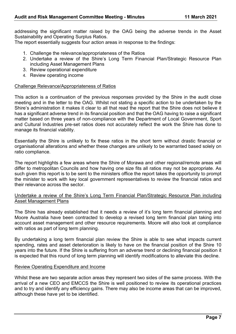addressing the significant matter raised by the OAG being the adverse trends in the Asset Sustainability and Operating Surplus Ratios.

The report essentially suggests four action areas in response to the findings:

- 1. Challenge the relevance/appropriateness of the Ratios
- 2. Undertake a review of the Shire's Long Term Financial Plan/Strategic Resource Plan including Asset Management Plans
- 3. Review operational expenditure
- 4. Review operating income

#### Challenge Relevance/Appropriateness of Ratios

This action is a continuation of the previous responses provided by the Shire in the audit close meeting and in the letter to the OAG. Whilst not stating a specific action to be undertaken by the Shire's administration it makes it clear to all that read the report that the Shire does not believe it has a significant adverse trend in its financial position and that the OAG having to raise a significant matter based on three years of non-compliance with the Department of Local Government, Sport and Cultural Industries pre-set ratios does not accurately reflect the work the Shire has done to manage its financial viability.

Essentially the Shire is unlikely to fix these ratios in the short term without drastic financial or organisational alterations and whether these changes are unlikely to be warranted based solely on ratio compliance.

The report highlights a few areas where the Shire of Morawa and other regional/remote areas will differ to metropolitan Councils and how having one size fits all ratios may not be appropriate. As such given this report is to be sent to the ministers office the report takes the opportunity to prompt the minister to work with key local government representatives to review the financial ratios and their relevance across the sector.

#### Undertake a review of the Shire's Long Term Financial Plan/Strategic Resource Plan including Asset Management Plans

The Shire has already established that it needs a review of it's long term financial planning and Moore Australia have been contracted to develop a revised long term financial plan taking into account asset management and other resource requirements. Moore will also look at compliance with ratios as part of long term planning.

By undertaking a long term financial plan review the Shire is able to see what impacts current spending, rates and asset deterioration is likely to have on the financial position of the Shire 10 years into the future. If the Shire is suffering from an adverse trend or declining financial position it is expected that this round of long term planning will identify modifications to alleviate this decline.

#### Review Operating Expenditure and Income

Whilst these are two separate action areas they represent two sides of the same process. With the arrival of a new CEO and EMCCS the Shire is well positioned to review its operational practices and to try and identify any efficiency gains. There may also be income areas that can be improved, although these have yet to be identified.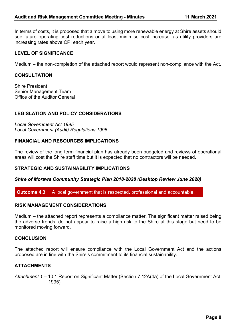In terms of costs, it is proposed that a move to using more renewable energy at Shire assets should see future operating cost reductions or at least minimise cost increase, as utility providers are increasing rates above CPI each year.

### **LEVEL OF SIGNIFICANCE**

Medium – the non-completion of the attached report would represent non-compliance with the Act.

#### **CONSULTATION**

Shire President Senior Management Team Office of the Auditor General

## **LEGISLATION AND POLICY CONSIDERATIONS**

*Local Government Act 1995 Local Government (Audit) Regulations 1996*

#### **FINANCIAL AND RESOURCES IMPLICATIONS**

The review of the long term financial plan has already been budgeted and reviews of operational areas will cost the Shire staff time but it is expected that no contractors will be needed.

#### **STRATEGIC AND SUSTAINABILITY IMPLICATIONS**

*Shire of Morawa Community Strategic Plan 2018-2028 (Desktop Review June 2020)*

**Outcome 4.3** A local government that is respected, professional and accountable.

#### **RISK MANAGEMENT CONSIDERATIONS**

Medium – the attached report represents a compliance matter. The significant matter raised being the adverse trends, do not appear to raise a high risk to the Shire at this stage but need to be monitored moving forward.

#### **CONCLUSION**

The attached report will ensure compliance with the Local Government Act and the actions proposed are in line with the Shire's commitment to its financial sustainability.

#### **ATTACHMENTS**

*Attachment 1* – 10.1 Report on Significant Matter (Section 7.12A(4a) of the Local Government Act 1995)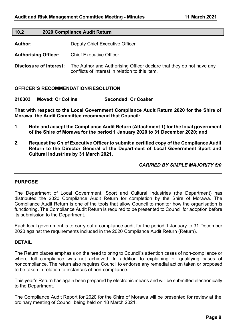| 10.2                           | 2020 Compliance Audit Return |                                                                                                                         |  |
|--------------------------------|------------------------------|-------------------------------------------------------------------------------------------------------------------------|--|
| Author:                        |                              | <b>Deputy Chief Executive Officer</b>                                                                                   |  |
| <b>Authorising Officer:</b>    |                              | <b>Chief Executive Officer</b>                                                                                          |  |
| <b>Disclosure of Interest:</b> |                              | The Author and Authorising Officer declare that they do not have any<br>conflicts of interest in relation to this item. |  |

**OFFICER'S RECOMMENDATION/RESOLUTION**

**210303 Moved: Cr Collins Seconded: Cr Coaker**

**That with respect to the Local Government Compliance Audit Return 2020 for the Shire of Morawa, the Audit Committee recommend that Council:**

- **1. Note and accept the Compliance Audit Return (Attachment 1) for the local government of the Shire of Morawa for the period 1 January 2020 to 31 December 2020; and**
- **2. Request the Chief Executive Officer to submit a certified copy of the Compliance Audit Return to the Director General of the Department of Local Government Sport and Cultural Industries by 31 March 2021.**

*CARRIED BY SIMPLE MAJORITY 5/0*

#### **PURPOSE**

The Department of Local Government, Sport and Cultural Industries (the Department) has distributed the 2020 Compliance Audit Return for completion by the Shire of Morawa. The Compliance Audit Return is one of the tools that allow Council to monitor how the organisation is functioning. The Compliance Audit Return is required to be presented to Council for adoption before its submission to the Department.

Each local government is to carry out a compliance audit for the period 1 January to 31 December 2020 against the requirements included in the 2020 Compliance Audit Return (Return).

#### **DETAIL**

The Return places emphasis on the need to bring to Council's attention cases of non-compliance or where full compliance was not achieved. In addition to explaining or qualifying cases of noncompliance. The return also requires Council to endorse any remedial action taken or proposed to be taken in relation to instances of non-compliance.

This year's Return has again been prepared by electronic means and will be submitted electronically to the Department.

The Compliance Audit Report for 2020 for the Shire of Morawa will be presented for review at the ordinary meeting of Council being held on 18 March 2021.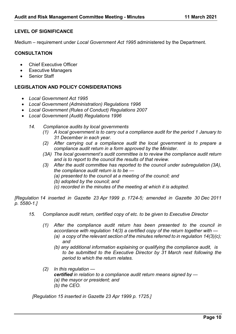# **LEVEL OF SIGNIFICANCE**

Medium – requirement under *Local Government Act 1995* administered by the Department.

# **CONSULTATION**

- **Chief Executive Officer**
- **Executive Managers**
- Senior Staff

# **LEGISLATION AND POLICY CONSIDERATIONS**

- *Local Government Act 1995*
- *Local Government (Administration) Regulations 1996*
- *Local Government (Rules of Conduct) Regulations 2007*
- *Local Government (Audit) Regulations 1996*
	- *14. Compliance audits by local governments*
		- *(1) A local government is to carry out a compliance audit for the period 1 January to 31 December in each year.*
		- *(2) After carrying out a compliance audit the local government is to prepare a compliance audit return in a form approved by the Minister.*
		- *(3A) The local government's audit committee is to review the compliance audit return and is to report to the council the results of that review.*
		- *(3) After the audit committee has reported to the council under subregulation (3A), the compliance audit return is to be —*
			- *(a) presented to the council at a meeting of the council; and*
			- *(b) adopted by the council; and*
			- *(c) recorded in the minutes of the meeting at which it is adopted.*

*[Regulation 14 inserted in Gazette 23 Apr 1999 p. 1724-5; amended in Gazette 30 Dec 2011 p. 5580-1.]*

- *15. Compliance audit return, certified copy of etc. to be given to Executive Director*
	- *(1) After the compliance audit return has been presented to the council in accordance with regulation 14(3) a certified copy of the return together with —*
		- *(a) a copy of the relevant section of the minutes referred to in regulation 14(3)(c); and*
		- *(b) any additional information explaining or qualifying the compliance audit, is to be submitted to the Executive Director by 31 March next following the period to which the return relates.*
	- *(2) In this regulation certified in relation to a compliance audit return means signed by — (a) the mayor or president; and (b) the CEO.*

*[Regulation 15 inserted in Gazette 23 Apr 1999 p. 1725.]*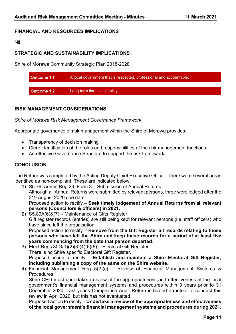## **FINANCIAL AND RESOURCES IMPLICATIONS**

Nil

# **STRATEGIC AND SUSTAINABILITY IMPLICATIONS**

Shire of Morawa Community Strategic Plan 2018-2028

| Outcome 1.1        | A local government that is respected, professional and accountable. |
|--------------------|---------------------------------------------------------------------|
|                    |                                                                     |
| <b>Outcome 1.2</b> | Long term financial viability.                                      |

# **RISK MANAGEMENT CONSIDERATIONS**

*Shire of Morawa Risk Management Governance Framework*

Appropriate governance of risk management within the Shire of Morawa provides:

- Transparency of decision making
- Clear identification of the roles and responsibilities of the risk management functions
- An effective Governance Structure to support the risk framework

### **CONCLUSION**

The Return was completed by the Acting Deputy Chief Executive Officer. There were several areas identified as non-compliant. These are indicated below:

- 1) S5.76, Admin Reg 23, Form 3 Submission of Annual Returns Although all Annual Returns were submitted by relevant persons, three were lodged after the 31<sup>st</sup> August 2020 due date. Proposed action to rectify – **Seek timely lodgement of Annual Returns from all relevant persons (Councillors & officers) in 2021.**
- 2) S5.89A(6)&(7) Maintenance of Gifts Register Gift register records (entries) are still being kept for relevant persons (i.e. staff officers) who have since left the organisation. Proposed action to rectify – **Remove from the Gift Register all records relating to those persons who have left the Shire and keep these records for a period of at least five**

**years commencing from the date that person departed**. 3) Elect Regs 30G(1)(2)(3)(4)(5)(6) – Electoral Gift Register There is no Shire specific Electoral Gift Register.

Proposed action to rectify – **Establish and maintain a Shire Electoral Gift Register, including publishing a copy of the same on the Shire website**.

4) Financial Management Reg 5(2)(c) – Review of Financial Management Systems & **Procedures** 

Shire CEO must undertake a review of the appropriateness and effectiveness of the local government's financial management systems and procedures within 3 years prior to 31 December 2020. Last year's Compliance Audit Return indicated an intent to conduct this review in April 2020, but this has not eventuated.

Proposed action to rectify – **Undertake a review of the appropriateness and effectiveness of the local government's financial management systems and procedures during 2021**.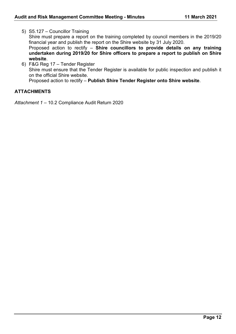- 5) S5.127 Councillor Training Shire must prepare a report on the training completed by council members in the 2019/20 financial year and publish the report on the Shire website by 31 July 2020. Proposed action to rectify – **Shire councillors to provide details on any training undertaken during 2019/20 for Shire officers to prepare a report to publish on Shire website**.
- 6) F&G Reg 17 Tender Register Shire must ensure that the Tender Register is available for public inspection and publish it on the official Shire website. Proposed action to rectify – **Publish Shire Tender Register onto Shire website**.

# **ATTACHMENTS**

*Attachment 1* – 10.2 Compliance Audit Return 2020